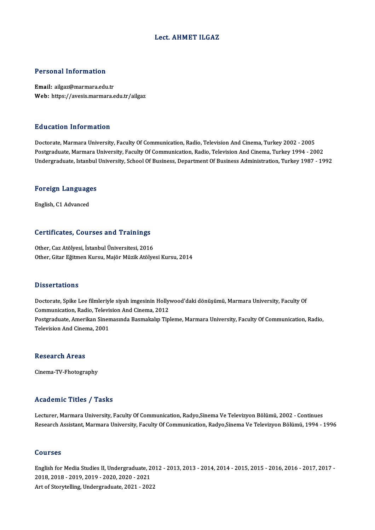#### Lect. AHMET ILGAZ

#### Personal Information

Email: ailgaz@marmara.edu.tr Web: https://avesis.marmara.edu.tr/ailgaz

#### Education Information

Doctorate, Marmara University, Faculty Of Communication, Radio, Television And Cinema, Turkey 2002 - 2005 Postgraduate, Marmara University, Faculty Of Communication, Radio, Television And Cinema, Turkey 1994 - 2002 Undergraduate, Istanbul University, School Of Business, Department Of Business Administration, Turkey 1987 - 1992

## <sub>ondergraduate, istanbul</sub><br>Foreign Languages <mark>Foreign Languag</mark>e<br>English, C1 Advanced

# English, C1 Advanced<br>Certificates, Courses and Trainings

Other, Caz Atölyesi, İstanbul Üniversitesi, 2016 Other, Gitar Eğitmen Kursu, Majör Müzik Atölyesi Kursu, 2014

#### **Dissertations**

Dissertations<br>Doctorate, Spike Lee filmleriyle siyah imgesinin Hollywood'daki dönüşümü, Marmara University, Faculty Of<br>Communication, Radia, Television And Cinema, 2012 Basser cacroms<br>Doctorate, Spike Lee filmleriyle siyah imgesinin Holly<br>Communication, Radio, Television And Cinema, 2012<br>Restauduate, Amerikan Sinemasunda Besmakalın Tin Doctorate, Spike Lee filmleriyle siyah imgesinin Hollywood'daki dönüşümü, Marmara University, Faculty Of<br>Communication, Radio, Television And Cinema, 2012<br>Postgraduate, Amerikan Sinemasında Basmakalıp Tipleme, Marmara Univ Communication, Radio, Televi:<br>Postgraduate, Amerikan Siner<br>Television And Cinema, 2001 Television And Cinema, 2001<br>Research Areas

Cinema-TV-Fhotography

#### Academic Titles / Tasks

Lecturer, Marmara University, Faculty Of Communication, Radyo,Sinema Ve Televizyon Bölümü, 2002 - Continues Research Assistant, Marmara University, Faculty Of Communication, Radyo,Sinema Ve Televizyon Bölümü, 1994 - 1996

#### Courses

Courses<br>English for Media Studies II, Undergraduate, 2012 - 2013, 2013 - 2014, 2014 - 2015, 2015 - 2016, 2016 - 2017, 2017 -<br>2018 -2018 -2019, 2019, 2020, 2020, 2021 2011<br>2018, 2018 - 2019, 2019 - 2020, 2020 - 2021<br>2018, 2018 - 2019, 2019 - 2020, 2020 - 2021<br>Art of Storytelling, Undergreduate, 2021, 202 2018, 2018 - 2019, 2019 - 2020, 2020 - 2021<br>Art of Storytelling, Undergraduate, 2021 - 2022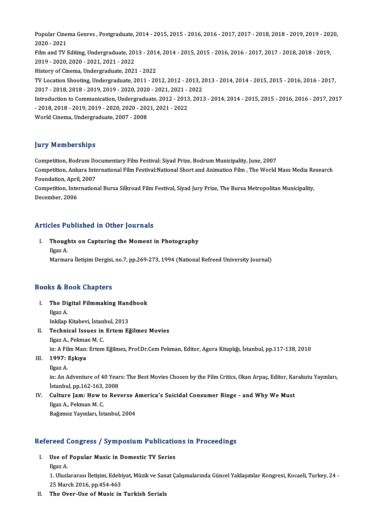Popular Cinema Genres , Postgraduate, 2014 - 2015, 2015 - 2016, 2016 - 2017, 2017 - 2018, 2018 - 2019, 2019 - 2020,<br>2020 - 2021 2020<br>2020 - 2021<br>2020 - 2021 Popular Cinema Genres , Postgraduate, 2014 - 2015, 2015 - 2016, 2016 - 2017, 2017 - 2018, 2018 - 2019, 2019 - 202<br>2020 - 2021<br>Film and TV Editing, Undergraduate, 2013 - 2014, 2014 - 2015, 2015 - 2016, 2016 - 2017, 2017 - 2 2020 - 2021<br>Film and TV Editing, Undergraduate, 2013 - 2014, 2014 - 2015, 2015 - 2016, 2016 - 2017, 2017 - 2018, 2018 - 2019,<br>2019 - 2020, 2020 - 2021, 2021 - 2022 History of Cinema, Undergraduate, 2021 - 2022 2019 - 2020, 2020 - 2021, 2021 - 2022<br>History of Cinema, Undergraduate, 2021 - 2022<br>TV Location Shooting, Undergraduate, 2011 - 2012, 2012 - 2013, 2013 - 2014, 2014 - 2015, 2015 - 2016, 2016 - 2017,<br>2017 - 2018, 2018, 2019 History of Cinema, Undergraduate, 2021 - 2022<br>TV Location Shooting, Undergraduate, 2011 - 2012, 2012 - 2013, 2<br>2017 - 2018, 2018 - 2019, 2019 - 2020, 2020 - 2021, 2021 - 2022<br>Introduction to Communication, Undergraduate, 2 TV Location Shooting, Undergraduate, 2011 - 2012, 2012 - 2013, 2013 - 2014, 2014 - 2015, 2015 - 2016, 2016 - 2017,<br>2017 - 2018, 2018 - 2019, 2019 - 2020, 2020 - 2021, 2021 - 2022<br>Introduction to Communication, Undergraduat 2017 - 2018, 2018 - 2019, 2019 - 2020, 2020 - 2021, 2021 - 2022<br>Introduction to Communication, Undergraduate, 2012 - 2013, 2013 - 2014, 2014 - 2015, 2015 - 2016, 2016 - 2017, 2017<br>- 2018, 2018 - 2019, 2019 - 2020, 2020 - 2 World Cinema, Undergraduate, 2007 - 2008

### **Jury Memberships**

**Jury Memberships<br>Competition, Bodrum Documentary Film Festival: Siyad Prize, Bodrum Municipality, June, 2007<br>Competition, Ankara International Film Festival:National Short and Animation Film, The World** Competition, Ankara International Film Festival:National Short and Animation Film , The World Mass Media Research<br>Foundation, April, 2007 Competition, Bodrum Do<br>Competition, Ankara Inte<br>Foundation, April, 2007<br>Competition, Internation Competition, Ankara International Film Festival:National Short and Animation Film , The World Mass Media Re<br>Foundation, April, 2007<br>Competition, International Bursa Silkroad Film Festival, Siyad Jury Prize, The Bursa Metro

Foundation, April<br>Competition, Inte<br>December, 2006

# Articles Published in Other Journals

rticles Published in Other Journals<br>I. Thoughts on Capturing the Moment in Photography<br>Ugaz A Ilgaz<br>Ilgaz A.<br>Marmar Ilgaz A.<br>Marmara İletişim Dergisi, no.7, pp.269-273, 1994 (National Refreed University Journal)

#### Books&Book Chapters

- ooks & Book Chapters<br>I. The Digital Filmmaking Handbook<br>Haar A Is a B<br>The Di<br>Ilgaz A. The Digital Filmmaking Hand<br>Ilgaz A.<br>Inkilap Kitabevi, İstanbul, 2013<br>Teshnisal Issues in Extern Bi Ilgaz A.<br>Inkilap Kitabevi, İstanbul, 2013<br>II. Technical Issues in Ertem Eğilmez Movies
- Ilgaz A., Pekman M. C. Technical Issues in Ertem Eğilmez Movies<br>Ilgaz A., Pekman M. C.<br>in: A Film Man: Ertem Eğilmez, Prof.Dr.Cem Pekman, Editor, Agora Kitaplığı, İstanbul, pp.117-138, 2010<br>1997: Eskwa in: A Fil<br>**1997:**<br>Ilgaz A.<br>in: An A.
- III. 1997: Eşkıya<br>Ilgaz A.

1997: Eşkıya<br>Ilgaz A.<br>in: An Adventure of 40 Years: The Best Movies Chosen by the Film Critics, Okan Arpaç, Editor, Karakutu Yayınları,<br>İstanbul, nn 163,163,2008 Ilgaz A.<br>in: An Adventure of 40 Year<br>İstanbul, pp.162-163, 2008<br>Culture Jam: Haw to Bev in: An Adventure of 40 Years: The Best Movies Chosen by the Film Critics, Okan Arpaç, Editor, Kaing Istanbul, pp.162-163, 2008<br>IV. Culture Jam: How to Reverse America's Suicidal Consumer Binge - and Why We Must<br>Ilgas A. Be

İstanbul, pp.162-163,<br>Culture Jam: How t<br>Ilgaz A., Pekman M. C.<br>Poğumar: Yaumlan, İst Culture Jam: How to Reverse A<br>Ilgaz A., Pekman M. C.<br>Bağımsız Yayınları, İstanbul, 2004

## Bagimsiz rayiniari, istanbul, 2004<br>Refereed Congress / Symposium Publications in Proceedings efereed Congress / Symposium Publication<br>I. Use of Popular Music in Domestic TV Series

- Use of Popular Music in Domestic TV Series<br>Ilgaz A.
	-

1. Uluslararası İletişim, Edebiyat, Müzik ve Sanat Çalışmalarında Güncel Yaklaşımlar Kongresi, Kocaeli, Turkey, 24 -25March 2016,pp.454-463

II. The Over-Use of Music in Turkish Serials